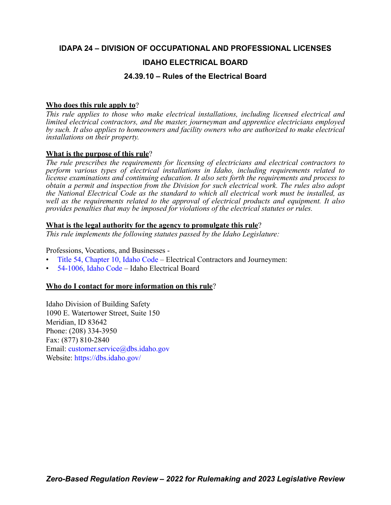## **IDAPA 24 – DIVISION OF OCCUPATIONAL AND PROFESSIONAL LICENSES**

### **IDAHO ELECTRICAL BOARD**

### **24.39.10 – Rules of the Electrical Board**

#### **Who does this rule apply to**?

*This rule applies to those who make electrical installations, including licensed electrical and limited electrical contractors, and the master, journeyman and apprentice electricians employed by such. It also applies to homeowners and facility owners who are authorized to make electrical installations on their property.* 

#### **What is the purpose of this rule**?

*The rule prescribes the requirements for licensing of electricians and electrical contractors to perform various types of electrical installations in Idaho, including requirements related to license examinations and continuing education. It also sets forth the requirements and process to obtain a permit and inspection from the Division for such electrical work. The rules also adopt the National Electrical Code as the standard to which all electrical work must be installed, as well as the requirements related to the approval of electrical products and equipment. It also provides penalties that may be imposed for violations of the electrical statutes or rules.*

#### **What is the legal authority for the agency to promulgate this rule**?

*This rule implements the following statutes passed by the Idaho Legislature:*

Professions, Vocations, and Businesses -

- [Title 54, Chapter 10, Idaho Code](https://legislature.idaho.gov/statutesrules/idstat/Title54/T54CH10/)  Electrical Contractors and Journeymen:
- [54-1006, Idaho Code](https://legislature.idaho.gov/statutesrules/idstat/Title54/T54CH10/SECT54-1006/)  Idaho Electrical Board

### **Who do I contact for more information on this rule**?

Idaho Division of Building Safety 1090 E. Watertower Street, Suite 150 Meridian, ID 83642 Phone: (208) 334-3950 Fax: (877) 810-2840 Email: [customer.service@dbs.idaho.gov](mailto:customer.service@dbs.idaho.gov) Website: <https://dbs.idaho.gov/>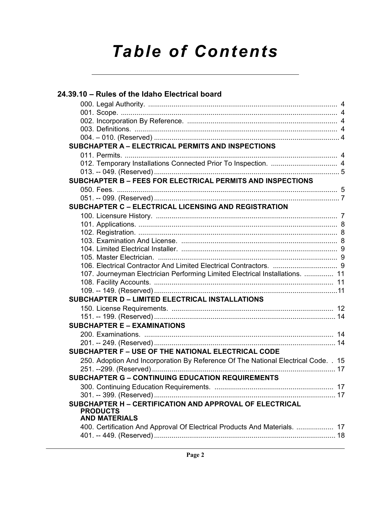# *Table of Contents*

| SUBCHAPTER A - ELECTRICAL PERMITS AND INSPECTIONS<br>SUBCHAPTER B - FEES FOR ELECTRICAL PERMITS AND INSPECTIONS<br><b>SUBCHAPTER C - ELECTRICAL LICENSING AND REGISTRATION</b><br>107. Journeyman Electrician Performing Limited Electrical Installations.  11<br><b>SUBCHAPTER D - LIMITED ELECTRICAL INSTALLATIONS</b><br><b>SUBCHAPTER E - EXAMINATIONS</b><br>SUBCHAPTER F - USE OF THE NATIONAL ELECTRICAL CODE<br>250. Adoption And Incorporation By Reference Of The National Electrical Code. . 15<br>SUBCHAPTER G - CONTINUING EDUCATION REQUIREMENTS<br>SUBCHAPTER H - CERTIFICATION AND APPROVAL OF ELECTRICAL<br><b>PRODUCTS</b><br><b>AND MATERIALS</b><br>400. Certification And Approval Of Electrical Products And Materials.  17 | 24.39.10 - Rules of the Idaho Electrical board |  |
|---------------------------------------------------------------------------------------------------------------------------------------------------------------------------------------------------------------------------------------------------------------------------------------------------------------------------------------------------------------------------------------------------------------------------------------------------------------------------------------------------------------------------------------------------------------------------------------------------------------------------------------------------------------------------------------------------------------------------------------------------|------------------------------------------------|--|
|                                                                                                                                                                                                                                                                                                                                                                                                                                                                                                                                                                                                                                                                                                                                                   |                                                |  |
|                                                                                                                                                                                                                                                                                                                                                                                                                                                                                                                                                                                                                                                                                                                                                   |                                                |  |
|                                                                                                                                                                                                                                                                                                                                                                                                                                                                                                                                                                                                                                                                                                                                                   |                                                |  |
|                                                                                                                                                                                                                                                                                                                                                                                                                                                                                                                                                                                                                                                                                                                                                   |                                                |  |
|                                                                                                                                                                                                                                                                                                                                                                                                                                                                                                                                                                                                                                                                                                                                                   |                                                |  |
|                                                                                                                                                                                                                                                                                                                                                                                                                                                                                                                                                                                                                                                                                                                                                   |                                                |  |
|                                                                                                                                                                                                                                                                                                                                                                                                                                                                                                                                                                                                                                                                                                                                                   |                                                |  |
|                                                                                                                                                                                                                                                                                                                                                                                                                                                                                                                                                                                                                                                                                                                                                   |                                                |  |
|                                                                                                                                                                                                                                                                                                                                                                                                                                                                                                                                                                                                                                                                                                                                                   |                                                |  |
|                                                                                                                                                                                                                                                                                                                                                                                                                                                                                                                                                                                                                                                                                                                                                   |                                                |  |
|                                                                                                                                                                                                                                                                                                                                                                                                                                                                                                                                                                                                                                                                                                                                                   |                                                |  |
|                                                                                                                                                                                                                                                                                                                                                                                                                                                                                                                                                                                                                                                                                                                                                   |                                                |  |
|                                                                                                                                                                                                                                                                                                                                                                                                                                                                                                                                                                                                                                                                                                                                                   |                                                |  |
|                                                                                                                                                                                                                                                                                                                                                                                                                                                                                                                                                                                                                                                                                                                                                   |                                                |  |
|                                                                                                                                                                                                                                                                                                                                                                                                                                                                                                                                                                                                                                                                                                                                                   |                                                |  |
|                                                                                                                                                                                                                                                                                                                                                                                                                                                                                                                                                                                                                                                                                                                                                   |                                                |  |
|                                                                                                                                                                                                                                                                                                                                                                                                                                                                                                                                                                                                                                                                                                                                                   |                                                |  |
|                                                                                                                                                                                                                                                                                                                                                                                                                                                                                                                                                                                                                                                                                                                                                   |                                                |  |
|                                                                                                                                                                                                                                                                                                                                                                                                                                                                                                                                                                                                                                                                                                                                                   |                                                |  |
|                                                                                                                                                                                                                                                                                                                                                                                                                                                                                                                                                                                                                                                                                                                                                   |                                                |  |
|                                                                                                                                                                                                                                                                                                                                                                                                                                                                                                                                                                                                                                                                                                                                                   |                                                |  |
|                                                                                                                                                                                                                                                                                                                                                                                                                                                                                                                                                                                                                                                                                                                                                   |                                                |  |
|                                                                                                                                                                                                                                                                                                                                                                                                                                                                                                                                                                                                                                                                                                                                                   |                                                |  |
|                                                                                                                                                                                                                                                                                                                                                                                                                                                                                                                                                                                                                                                                                                                                                   |                                                |  |
|                                                                                                                                                                                                                                                                                                                                                                                                                                                                                                                                                                                                                                                                                                                                                   |                                                |  |
|                                                                                                                                                                                                                                                                                                                                                                                                                                                                                                                                                                                                                                                                                                                                                   |                                                |  |
|                                                                                                                                                                                                                                                                                                                                                                                                                                                                                                                                                                                                                                                                                                                                                   |                                                |  |
|                                                                                                                                                                                                                                                                                                                                                                                                                                                                                                                                                                                                                                                                                                                                                   |                                                |  |
|                                                                                                                                                                                                                                                                                                                                                                                                                                                                                                                                                                                                                                                                                                                                                   |                                                |  |
|                                                                                                                                                                                                                                                                                                                                                                                                                                                                                                                                                                                                                                                                                                                                                   |                                                |  |
|                                                                                                                                                                                                                                                                                                                                                                                                                                                                                                                                                                                                                                                                                                                                                   |                                                |  |
|                                                                                                                                                                                                                                                                                                                                                                                                                                                                                                                                                                                                                                                                                                                                                   |                                                |  |
|                                                                                                                                                                                                                                                                                                                                                                                                                                                                                                                                                                                                                                                                                                                                                   |                                                |  |
|                                                                                                                                                                                                                                                                                                                                                                                                                                                                                                                                                                                                                                                                                                                                                   |                                                |  |
|                                                                                                                                                                                                                                                                                                                                                                                                                                                                                                                                                                                                                                                                                                                                                   |                                                |  |
|                                                                                                                                                                                                                                                                                                                                                                                                                                                                                                                                                                                                                                                                                                                                                   |                                                |  |
|                                                                                                                                                                                                                                                                                                                                                                                                                                                                                                                                                                                                                                                                                                                                                   |                                                |  |
|                                                                                                                                                                                                                                                                                                                                                                                                                                                                                                                                                                                                                                                                                                                                                   |                                                |  |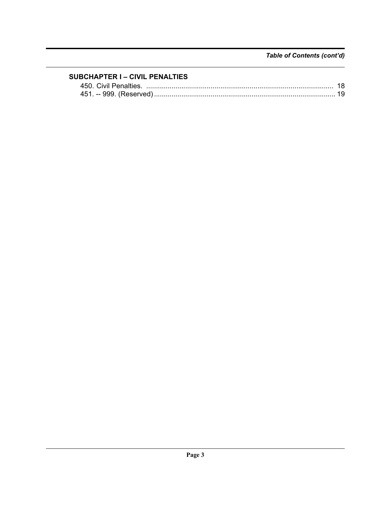### **SUBCHAPTER I - CIVIL PENALTIES**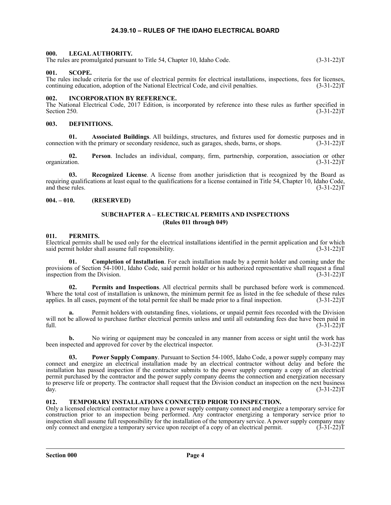#### **24.39.10 – RULES OF THE IDAHO ELECTRICAL BOARD**

#### <span id="page-3-1"></span><span id="page-3-0"></span>**000. LEGAL AUTHORITY.**

The rules are promulgated pursuant to Title 54, Chapter 10, Idaho Code. (3-31-22)T

#### <span id="page-3-2"></span>**001. SCOPE.**

The rules include criteria for the use of electrical permits for electrical installations, inspections, fees for licenses, continuing education, adoption of the National Electrical Code, and civil penalties. (3-31-22)T

#### <span id="page-3-3"></span>**002. INCORPORATION BY REFERENCE.**

The National Electrical Code, 2017 Edition, is incorporated by reference into these rules as further specified in Section 250. (3-31-22) Section 250.  $(3-31-22)T$ 

#### <span id="page-3-4"></span>**003. DEFINITIONS.**

**01. Associated Buildings**. All buildings, structures, and fixtures used for domestic purposes and in connection with the primary or secondary residence, such as garages, sheds, barns, or shops. (3-31-22)T

**02. Person**. Includes an individual, company, firm, partnership, corporation, association or other organization. (3-31-22)T

**03. Recognized License**. A license from another jurisdiction that is recognized by the Board as requiring qualifications at least equal to the qualifications for a license contained in Title 54, Chapter 10, Idaho Code, and these rules. (3-31-22)T

#### <span id="page-3-6"></span><span id="page-3-5"></span>**004. – 010. (RESERVED)**

#### **SUBCHAPTER A – ELECTRICAL PERMITS AND INSPECTIONS (Rules 011 through 049)**

#### <span id="page-3-7"></span>**011. PERMITS.**

Electrical permits shall be used only for the electrical installations identified in the permit application and for which said permit holder shall assume full responsibility. (3-31-22) said permit holder shall assume full responsibility.

**01. Completion of Installation**. For each installation made by a permit holder and coming under the provisions of Section 54-1001, Idaho Code, said permit holder or his authorized representative shall request a final inspection from the Division. (3-31-22)T

**02. Permits and Inspections**. All electrical permits shall be purchased before work is commenced. Where the total cost of installation is unknown, the minimum permit fee as listed in the fee schedule of these rules applies. In all cases, payment of the total permit fee shall be made prior to a final inspection. (3-31-22)T

**a.** Permit holders with outstanding fines, violations, or unpaid permit fees recorded with the Division will not be allowed to purchase further electrical permits unless and until all outstanding fees due have been paid in full. (3-31-22) full.  $(3-31-22)T$ 

**b.** No wiring or equipment may be concealed in any manner from access or sight until the work has been inspected and approved for cover by the electrical inspector. (3-31-22)T

**03. Power Supply Company**. Pursuant to Section 54-1005, Idaho Code, a power supply company may connect and energize an electrical installation made by an electrical contractor without delay and before the installation has passed inspection if the contractor submits to the power supply company a copy of an electrical permit purchased by the contractor and the power supply company deems the connection and energization necessary to preserve life or property. The contractor shall request that the Division conduct an inspection on the next business day. (3-31-22) day. (3-31-22)T

#### <span id="page-3-8"></span>**012. TEMPORARY INSTALLATIONS CONNECTED PRIOR TO INSPECTION.**

Only a licensed electrical contractor may have a power supply company connect and energize a temporary service for construction prior to an inspection being performed. Any contractor energizing a temporary service prior to inspection shall assume full responsibility for the installation of the temporary service. A power supply company may only connect and energize a temporary service upon receipt of a copy of an electrical permit. (3-31-22) only connect and energize a temporary service upon receipt of a copy of an electrical permit.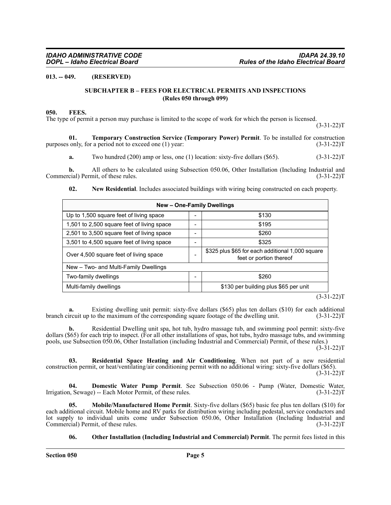#### <span id="page-4-1"></span><span id="page-4-0"></span>**013. -- 049. (RESERVED)**

#### **SUBCHAPTER B – FEES FOR ELECTRICAL PERMITS AND INSPECTIONS (Rules 050 through 099)**

#### <span id="page-4-2"></span>**050. FEES.**

The type of permit a person may purchase is limited to the scope of work for which the person is licensed.

 $(3-31-22)T$ 

**01. Temporary Construction Service (Temporary Power) Permit**. To be installed for construction purposes only, for a period not to exceed one (1) year: (3-31-22)T

**a.** Two hundred (200) amp or less, one (1) location: sixty-five dollars (\$65). (3-31-22)T

**b.** All others to be calculated using Subsection 050.06, Other Installation (Including Industrial and Commercial) Permit, of these rules. (3-31-22)T

#### **02. New Residential**. Includes associated buildings with wiring being constructed on each property.

| New - One-Family Dwellings                 |  |                                                                             |  |  |  |  |
|--------------------------------------------|--|-----------------------------------------------------------------------------|--|--|--|--|
| Up to 1,500 square feet of living space    |  | \$130                                                                       |  |  |  |  |
| 1,501 to 2,500 square feet of living space |  | \$195                                                                       |  |  |  |  |
| 2,501 to 3,500 square feet of living space |  | \$260                                                                       |  |  |  |  |
| 3,501 to 4,500 square feet of living space |  | \$325                                                                       |  |  |  |  |
| Over 4,500 square feet of living space     |  | \$325 plus \$65 for each additional 1,000 square<br>feet or portion thereof |  |  |  |  |
| New - Two- and Multi-Family Dwellings      |  |                                                                             |  |  |  |  |
| Two-family dwellings                       |  | \$260                                                                       |  |  |  |  |
| Multi-family dwellings                     |  | \$130 per building plus \$65 per unit                                       |  |  |  |  |

 $(3-31-22)T$ 

**a.** Existing dwelling unit permit: sixty-five dollars (\$65) plus ten dollars (\$10) for each additional branch circuit up to the maximum of the corresponding square footage of the dwelling unit. (3-31-22)T

**b.** Residential Dwelling unit spa, hot tub, hydro massage tub, and swimming pool permit: sixty-five dollars (\$65) for each trip to inspect. (For all other installations of spas, hot tubs, hydro massage tubs, and swimming pools, use Subsection 050.06, Other Installation (including Industrial and Commercial) Permit, of these rules.)  $(3-31-22)T$ 

**03. Residential Space Heating and Air Conditioning**. When not part of a new residential construction permit, or heat/ventilating/air conditioning permit with no additional wiring: sixty-five dollars (\$65).  $(3-31-22)T$ 

**04. Domestic Water Pump Permit**. See Subsection 050.06 - Pump (Water, Domestic Water, 1, Sewage) -- Each Motor Permit, of these rules. (3-31-22) Irrigation, Sewage) -- Each Motor Permit, of these rules.

**05. Mobile/Manufactured Home Permit**. Sixty-five dollars (\$65) basic fee plus ten dollars (\$10) for each additional circuit. Mobile home and RV parks for distribution wiring including pedestal, service conductors and lot supply to individual units come under Subsection 050.06, Other Installation (Including Industrial and Commercial) Permit, of these rules. (3-31-22)T

**06. Other Installation (Including Industrial and Commercial) Permit**. The permit fees listed in this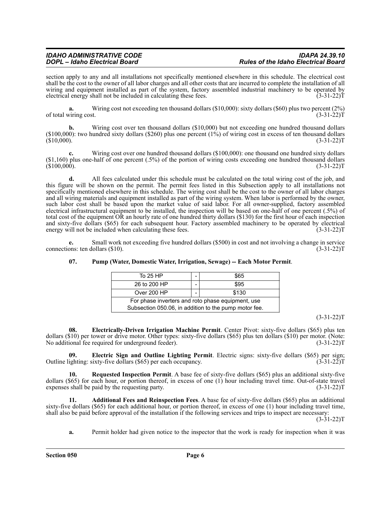### *IDAHO ADMINISTRATIVE CODE IDAPA 24.39.10 DOPL – Idaho Electrical Board Rules of the Idaho Electrical Board*

section apply to any and all installations not specifically mentioned elsewhere in this schedule. The electrical cost shall be the cost to the owner of all labor charges and all other costs that are incurred to complete the installation of all wiring and equipment installed as part of the system, factory assembled industrial machinery to be operated by electrical energy shall not be included in calculating these fees. (3-31-22) electrical energy shall not be included in calculating these fees.

**a.** Wiring cost not exceeding ten thousand dollars (\$10,000): sixty dollars (\$60) plus two percent (2%) viring cost. of total wiring cost.

**b.** Wiring cost over ten thousand dollars (\$10,000) but not exceeding one hundred thousand dollars (\$100,000): two hundred sixty dollars (\$260) plus one percent (1%) of wiring cost in excess of ten thousand dollars (\$10,000).  $(3-31-22)$ T  $(3-31-22)$ T (3000).

**c.** Wiring cost over one hundred thousand dollars (\$100,000): one thousand one hundred sixty dollars (\$1,160) plus one-half of one percent (.5%) of the portion of wiring costs exceeding one hundred thousand dollars  $(3-31-22)$ T (3-31-22)T

**d.** All fees calculated under this schedule must be calculated on the total wiring cost of the job, and this figure will be shown on the permit. The permit fees listed in this Subsection apply to all installations not specifically mentioned elsewhere in this schedule. The wiring cost shall be the cost to the owner of all labor charges and all wiring materials and equipment installed as part of the wiring system. When labor is performed by the owner, such labor cost shall be based upon the market value of said labor. For all owner-supplied, factory assembled electrical infrastructural equipment to be installed, the inspection will be based on one-half of one percent (.5%) of total cost of the equipment OR an hourly rate of one hundred thirty dollars (\$130) for the first hour of each inspection and sixty-five dollars (\$65) for each subsequent hour. Factory assembled machinery to be operated by electrical energy will not be included when calculating these fees. (3-31-22)T

**e.** Small work not exceeding five hundred dollars (\$500) in cost and not involving a change in service ons: ten dollars (\$10). connections: ten dollars  $(\$10)$ .

| To 25 HP                                                                                                   |  | \$65  |  |  |
|------------------------------------------------------------------------------------------------------------|--|-------|--|--|
| 26 to 200 HP                                                                                               |  | \$95  |  |  |
| Over 200 HP                                                                                                |  | \$130 |  |  |
| For phase inverters and roto phase equipment, use<br>Subsection 050.06, in addition to the pump motor fee. |  |       |  |  |

#### **07. Pump (Water, Domestic Water, Irrigation, Sewage) -- Each Motor Permit**.

 $(3-31-22)T$ 

**08. Electrically-Driven Irrigation Machine Permit**. Center Pivot: sixty-five dollars (\$65) plus ten dollars (\$10) per tower or drive motor. Other types: sixty-five dollars (\$65) plus ten dollars (\$10) per motor. (Note:<br>No additional fee required for underground feeder). (3-31-22) No additional fee required for underground feeder).

**09. Electric Sign and Outline Lighting Permit**. Electric signs: sixty-five dollars (\$65) per sign; ighting: sixty-five dollars (\$65) per each occupancy. (3-31-22) Outline lighting: sixty-five dollars  $(\$65)$  per each occupancy.

**10. Requested Inspection Permit**. A base fee of sixty-five dollars (\$65) plus an additional sixty-five dollars (\$65) for each hour, or portion thereof, in excess of one (1) hour including travel time. Out-of-state travel expenses shall be paid by the requesting party.  $(3-31-22)$ expenses shall be paid by the requesting party.

**11. Additional Fees and Reinspection Fees**. A base fee of sixty-five dollars (\$65) plus an additional sixty-five dollars (\$65) for each additional hour, or portion thereof, in excess of one (1) hour including travel time, shall also be paid before approval of the installation if the following services and trips to inspect are necessary:  $(3-31-22)T$ 

**a.** Permit holder had given notice to the inspector that the work is ready for inspection when it was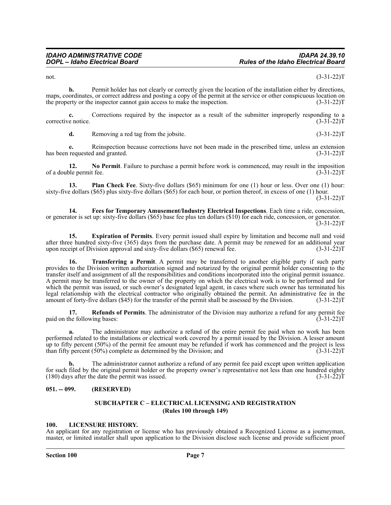not.  $(3-31-22)T$ 

**b.** Permit holder has not clearly or correctly given the location of the installation either by directions, maps, coordinates, or correct address and posting a copy of the permit at the service or other conspicuous location on the property or the inspector cannot gain access to make the inspection. (3-31-22)T

**c.** Corrections required by the inspector as a result of the submitter improperly responding to a e notice. (3-31-22) corrective notice.

**d.** Removing a red tag from the jobsite. (3-31-22)T

**e.** Reinspection because corrections have not been made in the prescribed time, unless an extension requested and granted. (3-31-22) has been requested and granted.

**12.** No Permit. Failure to purchase a permit before work is commenced, may result in the imposition ble permit fee. (3-31-22) of a double permit fee.

**13. Plan Check Fee**. Sixty-five dollars (\$65) minimum for one (1) hour or less. Over one (1) hour: sixty-five dollars (\$65) plus sixty-five dollars (\$65) for each hour, or portion thereof, in excess of one (1) hour. (3-31-22)T

**14. Fees for Temporary Amusement/Industry Electrical Inspections**. Each time a ride, concession, or generator is set up: sixty-five dollars (\$65) base fee plus ten dollars (\$10) for each ride, concession, or generator.  $(3-31-22)T$ 

**15. Expiration of Permits**. Every permit issued shall expire by limitation and become null and void after three hundred sixty-five (365) days from the purchase date. A permit may be renewed for an additional year upon receipt of Division approval and sixty-five dollars  $(\$65)$  renewal fee.  $(3-31-22)T$ 

**16. Transferring a Permit**. A permit may be transferred to another eligible party if such party provides to the Division written authorization signed and notarized by the original permit holder consenting to the transfer itself and assignment of all the responsibilities and conditions incorporated into the original permit issuance. A permit may be transferred to the owner of the property on which the electrical work is to be performed and for which the permit was issued, or such owner's designated legal agent, in cases where such owner has terminated his legal relationship with the electrical contractor who originally obtained the permit. An administrative fee in the amount of forty-five dollars (\$45) for the transfer of the permit shall be assessed by the Division. (3-31-22)T

**17. Refunds of Permits**. The administrator of the Division may authorize a refund for any permit fee paid on the following bases: (3-31-22)T

**a.** The administrator may authorize a refund of the entire permit fee paid when no work has been performed related to the installations or electrical work covered by a permit issued by the Division. A lesser amount up to fifty percent (50%) of the permit fee amount may be refunded if work has commenced and the project is less than fifty percent  $(50\%)$  complete as determined by the Division; and  $(3-31-22)$ T

**b.** The administrator cannot authorize a refund of any permit fee paid except upon written application for such filed by the original permit holder or the property owner's representative not less than one hundred eighty  $(180)$  days after the date the permit was issued.  $(3-31-22)$ T

#### <span id="page-6-1"></span><span id="page-6-0"></span>**051. -- 099. (RESERVED)**

#### **SUBCHAPTER C – ELECTRICAL LICENSING AND REGISTRATION (Rules 100 through 149)**

#### <span id="page-6-2"></span>**100. LICENSURE HISTORY.**

An applicant for any registration or license who has previously obtained a Recognized License as a journeyman, master, or limited installer shall upon application to the Division disclose such license and provide sufficient proof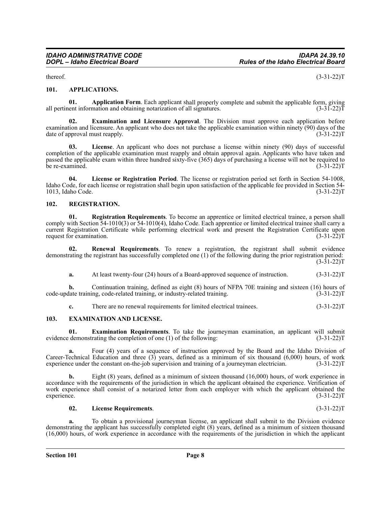thereof.  $(3-31-22)T$ 

#### <span id="page-7-0"></span>**101. APPLICATIONS.**

**01. Application Form**. Each applicant shall properly complete and submit the applicable form, giving ent information and obtaining notarization of all signatures. (3-31-22) all pertinent information and obtaining notarization of all signatures.

**02. Examination and Licensure Approval**. The Division must approve each application before examination and licensure. An applicant who does not take the applicable examination within ninety (90) days of the date of approval must reapply. (3-31-22) T

**03. License**. An applicant who does not purchase a license within ninety (90) days of successful completion of the applicable examination must reapply and obtain approval again. Applicants who have taken and passed the applicable exam within three hundred sixty-five (365) days of purchasing a license will not be required to be re-examined. (3-31-22)T

**04. License or Registration Period**. The license or registration period set forth in Section 54-1008, Idaho Code, for each license or registration shall begin upon satisfaction of the applicable fee provided in Section 54- 1013, Idaho Code. (3-31-22)T

#### <span id="page-7-1"></span>**102. REGISTRATION.**

**01. Registration Requirements**. To become an apprentice or limited electrical trainee, a person shall comply with Section 54-1010(3) or 54-1010(4), Idaho Code. Each apprentice or limited electrical trainee shall carry a current Registration Certificate while performing electrical work and present the Registration Certificate upon request for examination. (3-31-22) request for examination.

**02. Renewal Requirements**. To renew a registration, the registrant shall submit evidence demonstrating the registrant has successfully completed one (1) of the following during the prior registration period:  $(3-31-22)T$ 

**a.** At least twenty-four (24) hours of a Board-approved sequence of instruction. (3-31-22)T

**b.** Continuation training, defined as eight (8) hours of NFPA 70E training and sixteen (16) hours of late training, code-related training, or industry-related training. code-update training, code-related training, or industry-related training.

**c.** There are no renewal requirements for limited electrical trainees. (3-31-22) T

#### <span id="page-7-2"></span>**103. EXAMINATION AND LICENSE.**

**01. Examination Requirements**. To take the journeyman examination, an applicant will submit evidence demonstrating the completion of one (1) of the following: (3-31-22)T

**a.** Four (4) years of a sequence of instruction approved by the Board and the Idaho Division of Career-Technical Education and three (3) years, defined as a minimum of six thousand (6,000) hours, of work experience under the constant on-the-job supervision and training of a journeyman electrician.  $(3-31-22)$ T experience under the constant on-the-job supervision and training of a journeyman electrician.

**b.** Eight (8) years, defined as a minimum of sixteen thousand (16,000) hours, of work experience in accordance with the requirements of the jurisdiction in which the applicant obtained the experience. Verification of work experience shall consist of a notarized letter from each employer with which the applicant obtained the experience. (3-31-22)T

#### **02. License Requirements**. (3-31-22)T

**a.** To obtain a provisional journeyman license, an applicant shall submit to the Division evidence demonstrating the applicant has successfully completed eight (8) years, defined as a minimum of sixteen thousand (16,000) hours, of work experience in accordance with the requirements of the jurisdiction in which the applicant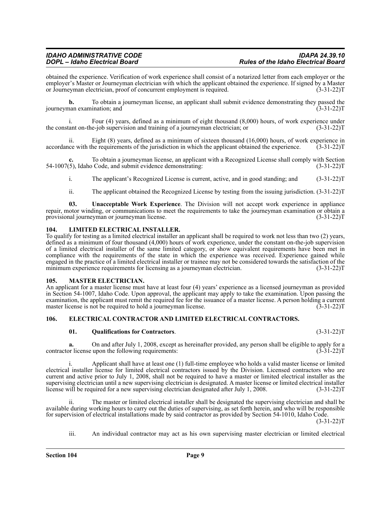obtained the experience. Verification of work experience shall consist of a notarized letter from each employer or the employer's Master or Journeyman electrician with which the applicant obtained the experience. If signed by a Master or Journeyman electrician, proof of concurrent employment is required. (3-31-22)T

**b.** To obtain a journeyman license, an applicant shall submit evidence demonstrating they passed the journeyman examination; and (3-31-22)T

i. Four (4) years, defined as a minimum of eight thousand  $(8,000)$  hours, of work experience under tant on-the-job supervision and training of a journeyman electrician; or  $(3-31-22)$ the constant on-the-job supervision and training of a journeyman electrician; or

ii. Eight (8) years, defined as a minimum of sixteen thousand (16,000) hours, of work experience in accordance with the requirements of the jurisdiction in which the applicant obtained the experience. (3-31-22)T

**c.** To obtain a journeyman license, an applicant with a Recognized License shall comply with Section 54-1007(5), Idaho Code, and submit evidence demonstrating: (3-31-22)T

i. The applicant's Recognized License is current, active, and in good standing; and (3-31-22)T

ii. The applicant obtained the Recognized License by testing from the issuing jurisdiction. (3-31-22)T

**03. Unacceptable Work Experience**. The Division will not accept work experience in appliance repair, motor winding, or communications to meet the requirements to take the journeyman examination or obtain a provisional journeyman or journeyman license. provisional journeyman or journeyman license.

#### <span id="page-8-0"></span>**104. LIMITED ELECTRICAL INSTALLER.**

To qualify for testing as a limited electrical installer an applicant shall be required to work not less than two (2) years, defined as a minimum of four thousand (4,000) hours of work experience, under the constant on-the-job supervision of a limited electrical installer of the same limited category, or show equivalent requirements have been met in compliance with the requirements of the state in which the experience was received. Experience gained while engaged in the practice of a limited electrical installer or trainee may not be considered towards the satisfaction of the minimum experience requirements for licensing as a journeyman electrician. (3-31-22) minimum experience requirements for licensing as a journeyman electrician.

#### <span id="page-8-1"></span>**105. MASTER ELECTRICIAN.**

An applicant for a master license must have at least four (4) years' experience as a licensed journeyman as provided in Section 54-1007, Idaho Code. Upon approval, the applicant may apply to take the examination. Upon passing the examination, the applicant must remit the required fee for the issuance of a master license. A person holding a current master license is not be required to hold a journeyman license. (3-31-22) master license is not be required to hold a journeyman license.

#### <span id="page-8-2"></span>**106. ELECTRICAL CONTRACTOR AND LIMITED ELECTRICAL CONTRACTORS.**

#### **01. Qualifications for Contractors**. (3-31-22)T

**a.** On and after July 1, 2008, except as hereinafter provided, any person shall be eligible to apply for a providently for a provided, any person shall be eligible to apply for a providently controllowing requirements: contractor license upon the following requirements:

i. Applicant shall have at least one (1) full-time employee who holds a valid master license or limited electrical installer license for limited electrical contractors issued by the Division. Licensed contractors who are current and active prior to July 1, 2008, shall not be required to have a master or limited electrical installer as the supervising electrician until a new supervising electrician is designated. A master license or limited electrical installer license will be required for a new supervising electrician designated after July 1, 2008. (3-31-22 license will be required for a new supervising electrician designated after July 1, 2008.

The master or limited electrical installer shall be designated the supervising electrician and shall be available during working hours to carry out the duties of supervising, as set forth herein, and who will be responsible for supervision of electrical installations made by said contractor as provided by Section 54-1010, Idaho Code.  $(3-31-22)T$ 

iii. An individual contractor may act as his own supervising master electrician or limited electrical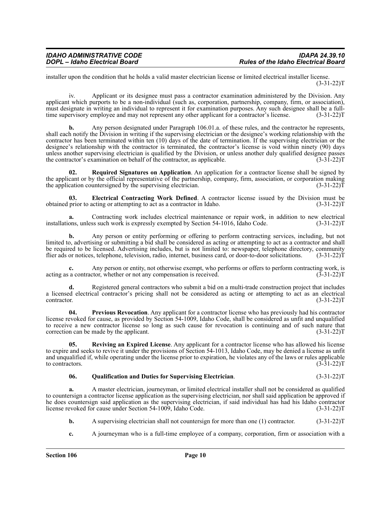installer upon the condition that he holds a valid master electrician license or limited electrical installer license.  $(3-31-22)T$ 

iv. Applicant or its designee must pass a contractor examination administered by the Division. Any applicant which purports to be a non-individual (such as, corporation, partnership, company, firm, or association), must designate in writing an individual to represent it for examination purposes. Any such designee shall be a full-<br>time supervisory employee and may not represent any other applicant for a contractor's license. (3-31-22) time supervisory employee and may not represent any other applicant for a contractor's license.

**b.** Any person designated under Paragraph 106.01.a. of these rules, and the contractor he represents, shall each notify the Division in writing if the supervising electrician or the designee's working relationship with the contractor has been terminated within ten (10) days of the date of termination. If the supervising electrician or the designee's relationship with the contractor is terminated, the contractor's license is void within ninety (90) days unless another supervising electrician is qualified by the Division, or unless another duly qualified designee passes the contractor's examination on behalf of the contractor, as applicable.  $(3-31-22)T$ 

**02. Required Signatures on Application**. An application for a contractor license shall be signed by the applicant or by the official representative of the partnership, company, firm, association, or corporation making the application countersigned by the supervising electrician.  $(3-31-22)\bar{T}$ 

**03. Electrical Contracting Work Defined**. A contractor license issued by the Division must be obtained prior to acting or attempting to act as a contractor in Idaho. (3-31-22)T

**a.** Contracting work includes electrical maintenance or repair work, in addition to new electrical installations, unless such work is expressly exempted by Section 54-1016, Idaho Code. (3-31-22)T

**b.** Any person or entity performing or offering to perform contracting services, including, but not limited to, advertising or submitting a bid shall be considered as acting or attempting to act as a contractor and shall be required to be licensed. Advertising includes, but is not limited to: newspaper, telephone directory, community flier ads or notices, telephone, television, radio, internet, business card, or door-to-door solicitations. (3-31-22)T

**c.** Any person or entity, not otherwise exempt, who performs or offers to perform contracting work, is a contractor, whether or not any compensation is received. (3-31-22) acting as a contractor, whether or not any compensation is received.

**d.** Registered general contractors who submit a bid on a multi-trade construction project that includes a licensed electrical contractor's pricing shall not be considered as acting or attempting to act as an electrical contractor. (3-31-22)T

**04. Previous Revocation**. Any applicant for a contractor license who has previously had his contractor license revoked for cause, as provided by Section 54-1009, Idaho Code, shall be considered as unfit and unqualified to receive a new contractor license so long as such cause for revocation is continuing and of such nature that correction can be made by the applicant.  $(3-31-22)T$ 

**05. Reviving an Expired License**. Any applicant for a contractor license who has allowed his license to expire and seeks to revive it under the provisions of Section 54-1013, Idaho Code, may be denied a license as unfit and unqualified if, while operating under the license prior to expiration, he violates any of the laws or rules applicable to contractors. (3-31-22) to contractors.  $(3-31-22)T$ 

#### **06. Qualification and Duties for Supervising Electrician**. (3-31-22)T

**a.** A master electrician, journeyman, or limited electrical installer shall not be considered as qualified to countersign a contractor license application as the supervising electrician, nor shall said application be approved if he does countersign said application as the supervising electrician, if said individual has had his Idaho contractor license revoked for cause under Section 54-1009, Idaho Code. (3-31-22)T

- **b.** A supervising electrician shall not countersign for more than one (1) contractor. (3-31-22)T
- **c.** A journeyman who is a full-time employee of a company, corporation, firm or association with a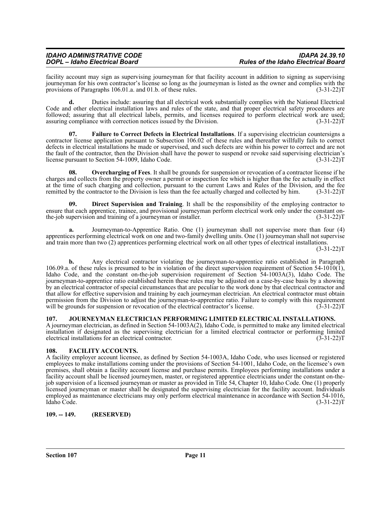#### *IDAHO ADMINISTRATIVE CODE IDAPA 24.39.10 DOPL – Idaho Electrical Board Rules of the Idaho Electrical Board*

facility account may sign as supervising journeyman for that facility account in addition to signing as supervising journeyman for his own contractor's license so long as the journeyman is listed as the owner and complies with the provisions of Paragraphs 106.01.a. and 01.b. of these rules. (3-31-22) T

**d.** Duties include: assuring that all electrical work substantially complies with the National Electrical Code and other electrical installation laws and rules of the state, and that proper electrical safety procedures are followed; assuring that all electrical labels, permits, and licenses required to perform electrical work are used; assuring compliance with correction notices issued by the Division. (3-31-22) assuring compliance with correction notices issued by the Division.

**07. Failure to Correct Defects in Electrical Installations**. If a supervising electrician countersigns a contractor license application pursuant to Subsection 106.02 of these rules and thereafter willfully fails to correct defects in electrical installations he made or supervised, and such defects are within his power to correct and are not the fault of the contractor, then the Division shall have the power to suspend or revoke said supervising electrician's license pursuant to Section 54-1009, Idaho Code. (3-31-22)T

**08. Overcharging of Fees**. It shall be grounds for suspension or revocation of a contractor license if he charges and collects from the property owner a permit or inspection fee which is higher than the fee actually in effect at the time of such charging and collection, pursuant to the current Laws and Rules of the Division, and the fee remitted by the contractor to the Division is less than the fee actually charged and collected by him. (3-31-22)T

**09. Direct Supervision and Training**. It shall be the responsibility of the employing contractor to ensure that each apprentice, trainee, and provisional journeyman perform electrical work only under the constant on-<br>the-job supervision and training of a journeyman or installer. (3-31-22) the-job supervision and training of a journeyman or installer.

**a.** Journeyman-to-Apprentice Ratio. One (1) journeyman shall not supervise more than four (4) apprentices performing electrical work on one and two-family dwelling units. One (1) journeyman shall not supervise and train more than two (2) apprentices performing electrical work on all other types of electrical installations.  $(3-31-22)T$ 

**b.** Any electrical contractor violating the journeyman-to-apprentice ratio established in Paragraph 106.09.a. of these rules is presumed to be in violation of the direct supervision requirement of Section 54-1010(1), Idaho Code, and the constant on-the-job supervision requirement of Section 54-1003A(3), Idaho Code. The journeyman-to-apprentice ratio established herein these rules may be adjusted on a case-by-case basis by a showing by an electrical contractor of special circumstances that are peculiar to the work done by that electrical contractor and that allow for effective supervision and training by each journeyman electrician. An electrical contractor must obtain permission from the Division to adjust the journeyman-to-apprentice ratio. Failure to comply with this requirement will be grounds for suspension or revocation of the electrical contractor's license. (3-31-22) will be grounds for suspension or revocation of the electrical contractor's license.

#### <span id="page-10-0"></span>**107. JOURNEYMAN ELECTRICIAN PERFORMING LIMITED ELECTRICAL INSTALLATIONS.**

A journeyman electrician, as defined in Section 54-1003A(2), Idaho Code, is permitted to make any limited electrical installation if designated as the supervising electrician for a limited electrical contractor or performing limited electrical installations for an electrical contractor. (3-31-22)T

#### <span id="page-10-1"></span>**108. FACILITY ACCOUNTS.**

A facility employer account licensee, as defined by Section 54-1003A, Idaho Code, who uses licensed or registered employees to make installations coming under the provisions of Section 54-1001, Idaho Code, on the licensee's own premises, shall obtain a facility account license and purchase permits. Employees performing installations under a facility account shall be licensed journeymen, master, or registered apprentice electricians under the constant on-thejob supervision of a licensed journeyman or master as provided in Title 54, Chapter 10, Idaho Code. One (1) properly licensed journeyman or master shall be designated the supervising electrician for the facility account. Individuals employed as maintenance electricians may only perform electrical maintenance in accordance with Section 54-1016, Idaho Code. (3-31-22)T

#### <span id="page-10-2"></span>**109. -- 149. (RESERVED)**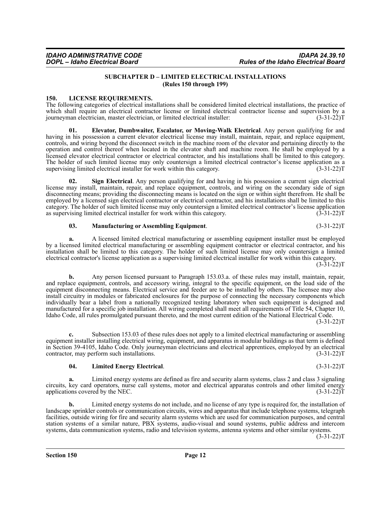#### **SUBCHAPTER D – LIMITED ELECTRICAL INSTALLATIONS (Rules 150 through 199)**

#### <span id="page-11-1"></span><span id="page-11-0"></span>**150. LICENSE REQUIREMENTS.**

The following categories of electrical installations shall be considered limited electrical installations, the practice of which shall require an electrical contractor license or limited electrical contractor license and supervision by a journeyman electrician, master electrician, or limited electrical installer: (3-31-22)T

**01. Elevator, Dumbwaiter, Escalator, or Moving-Walk Electrical**. Any person qualifying for and having in his possession a current elevator electrical license may install, maintain, repair, and replace equipment, controls, and wiring beyond the disconnect switch in the machine room of the elevator and pertaining directly to the operation and control thereof when located in the elevator shaft and machine room. He shall be employed by a licensed elevator electrical contractor or electrical contractor, and his installations shall be limited to this category. The holder of such limited license may only countersign a limited electrical contractor's license application as a supervising limited electrical installer for work within this category. (3-31-22) supervising limited electrical installer for work within this category.

**Sign Electrical**. Any person qualifying for and having in his possession a current sign electrical license may install, maintain, repair, and replace equipment, controls, and wiring on the secondary side of sign disconnecting means; providing the disconnecting means is located on the sign or within sight therefrom. He shall be employed by a licensed sign electrical contractor or electrical contractor, and his installations shall be limited to this category. The holder of such limited license may only countersign a limited electrical contractor's license application as supervising limited electrical installer for work within this category.

#### **03. Manufacturing or Assembling Equipment**. (3-31-22)T

**a.** A licensed limited electrical manufacturing or assembling equipment installer must be employed by a licensed limited electrical manufacturing or assembling equipment contractor or electrical contractor, and his installation shall be limited to this category. The holder of such limited license may only countersign a limited electrical contractor's license application as a supervising limited electrical installer for work within this category.  $(3-31-22)T$ 

**b.** Any person licensed pursuant to Paragraph 153.03.a. of these rules may install, maintain, repair, and replace equipment, controls, and accessory wiring, integral to the specific equipment, on the load side of the equipment disconnecting means. Electrical service and feeder are to be installed by others. The licensee may also install circuitry in modules or fabricated enclosures for the purpose of connecting the necessary components which individually bear a label from a nationally recognized testing laboratory when such equipment is designed and manufactured for a specific job installation. All wiring completed shall meet all requirements of Title 54, Chapter 10, Idaho Code, all rules promulgated pursuant thereto, and the most current edition of the National Electrical Code.  $(3-31-22)T$ 

**c.** Subsection 153.03 of these rules does not apply to a limited electrical manufacturing or assembling equipment installer installing electrical wiring, equipment, and apparatus in modular buildings as that term is defined in Section 39-4105, Idaho Code. Only journeyman electricians and electrical apprentices, employed by an electrical contractor, may perform such installations. (3-31-22)T

#### **04. Limited Energy Electrical**. (3-31-22)T

**a.** Limited energy systems are defined as fire and security alarm systems, class 2 and class 3 signaling circuits, key card operators, nurse call systems, motor and electrical apparatus controls and other limited energy applications covered by the NEC. (3-31-22)T

**b.** Limited energy systems do not include, and no license of any type is required for, the installation of landscape sprinkler controls or communication circuits, wires and apparatus that include telephone systems, telegraph facilities, outside wiring for fire and security alarm systems which are used for communication purposes, and central station systems of a similar nature, PBX systems, audio-visual and sound systems, public address and intercom systems, data communication systems, radio and television systems, antenna systems and other similar systems.

 $(3-31-22)T$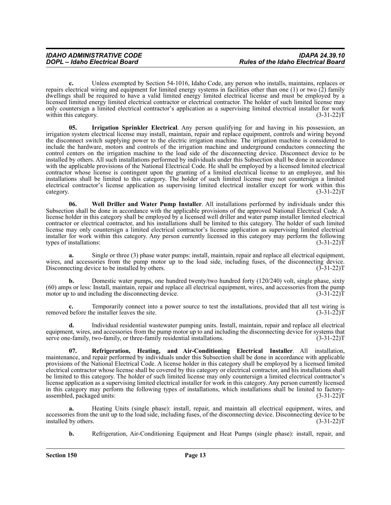**c.** Unless exempted by Section 54-1016, Idaho Code, any person who installs, maintains, replaces or repairs electrical wiring and equipment for limited energy systems in facilities other than one (1) or two (2) family dwellings shall be required to have a valid limited energy limited electrical license and must be employed by a licensed limited energy limited electrical contractor or electrical contractor. The holder of such limited license may only countersign a limited electrical contractor's application as a supervising limited electrical installer for work within this category.

**05. Irrigation Sprinkler Electrical**. Any person qualifying for and having in his possession, an irrigation system electrical license may install, maintain, repair and replace equipment, controls and wiring beyond the disconnect switch supplying power to the electric irrigation machine. The irrigation machine is considered to include the hardware, motors and controls of the irrigation machine and underground conductors connecting the control centers on the irrigation machine to the load side of the disconnecting device. Disconnect device to be installed by others. All such installations performed by individuals under this Subsection shall be done in accordance with the applicable provisions of the National Electrical Code. He shall be employed by a licensed limited electrical contractor whose license is contingent upon the granting of a limited electrical license to an employee, and his installations shall be limited to this category. The holder of such limited license may not countersign a limited electrical contractor's license application as supervising limited electrical installer except for work within this  $\alpha$  (3-31-22)T

**06. Well Driller and Water Pump Installer**. All installations performed by individuals under this Subsection shall be done in accordance with the applicable provisions of the approved National Electrical Code. A license holder in this category shall be employed by a licensed well driller and water pump installer limited electrical contractor or electrical contractor, and his installations shall be limited to this category. The holder of such limited license may only countersign a limited electrical contractor's license application as supervising limited electrical installer for work within this category. Any person currently licensed in this category may perform the following types of installations: (3-31-22)T

**a.** Single or three (3) phase water pumps: install, maintain, repair and replace all electrical equipment, wires, and accessories from the pump motor up to the load side, including fuses, of the disconnecting device.<br>Disconnecting device to be installed by others. (3-31-22) Disconnecting device to be installed by others.

**b.** Domestic water pumps, one hundred twenty/two hundred forty (120/240) volt, single phase, sixty  $(60)$  amps or less: Install, maintain, repair and replace all electrical equipment, wires, and accessories from the pump motor up to and including the disconnecting device.  $(3-31-22)$ motor up to and including the disconnecting device.

**c.** Temporarily connect into a power source to test the installations, provided that all test wiring is removed before the installer leaves the site. (3-31-22)T

**d.** Individual residential wastewater pumping units. Install, maintain, repair and replace all electrical equipment, wires, and accessories from the pump motor up to and including the disconnecting device for systems that serve one-family, two-family, or three-family residential installations. (3-31-22) serve one-family, two-family, or three-family residential installations.

**07. Refrigeration, Heating, and Air-Conditioning Electrical Installer**. All installation, maintenance, and repair performed by individuals under this Subsection shall be done in accordance with applicable provisions of the National Electrical Code. A license holder in this category shall be employed by a licensed limited electrical contractor whose license shall be covered by this category or electrical contractor, and his installations shall be limited to this category. The holder of such limited license may only countersign a limited electrical contractor's license application as a supervising limited electrical installer for work in this category. Any person currently licensed in this category may perform the following types of installations, which installations shall be limited to factoryassembled, packaged units: (3-31-22)T

**a.** Heating Units (single phase): install, repair, and maintain all electrical equipment, wires, and accessories from the unit up to the load side, including fuses, of the disconnecting device. Disconnecting device to be installed by others. (3-31-22) installed by others.

**b.** Refrigeration, Air-Conditioning Equipment and Heat Pumps (single phase): install, repair, and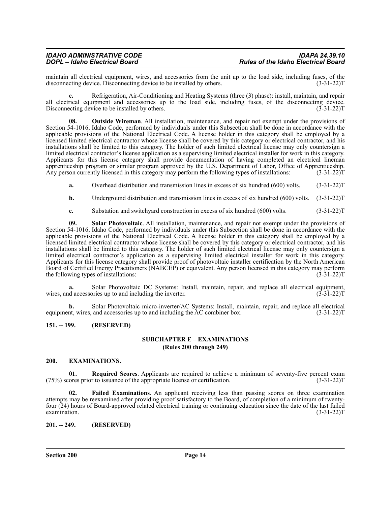| <b>IDAHO ADMINISTRATIVE CODE</b> | <b>IDAPA 24.39.10</b>                      |
|----------------------------------|--------------------------------------------|
| DOPL - Idaho Electrical Board    | <b>Rules of the Idaho Electrical Board</b> |

maintain all electrical equipment, wires, and accessories from the unit up to the load side, including fuses, of the disconnecting device. Disconnecting device to be installed by others. (3-31-22) disconnecting device. Disconnecting device to be installed by others.

**c.** Refrigeration, Air-Conditioning and Heating Systems (three (3) phase): install, maintain, and repair all electrical equipment and accessories up to the load side, including fuses, of the disconnecting device. Disconnecting device to be installed by others. (3-31-22)T

**08. Outside Wireman**. All installation, maintenance, and repair not exempt under the provisions of Section 54-1016, Idaho Code, performed by individuals under this Subsection shall be done in accordance with the applicable provisions of the National Electrical Code. A license holder in this category shall be employed by a licensed limited electrical contractor whose license shall be covered by this category or electrical contractor, and his installations shall be limited to this category. The holder of such limited electrical license may only countersign a limited electrical contractor's license application as a supervising limited electrical installer for work in this category. Applicants for this license category shall provide documentation of having completed an electrical lineman apprenticeship program or similar program approved by the U.S. Department of Labor, Office of Apprenticeship.<br>Any person currently licensed in this category may perform the following types of installations: (3-31-22)T Any person currently licensed in this category may perform the following types of installations:

- **a.** Overhead distribution and transmission lines in excess of six hundred (600) volts. (3-31-22) T
- **b.** Underground distribution and transmission lines in excess of six hundred (600) volts. (3-31-22) T
- **c.** Substation and switchyard construction in excess of six hundred (600) volts. (3-31-22)T

**09. Solar Photovoltaic**. All installation, maintenance, and repair not exempt under the provisions of Section 54-1016, Idaho Code, performed by individuals under this Subsection shall be done in accordance with the applicable provisions of the National Electrical Code. A license holder in this category shall be employed by a licensed limited electrical contractor whose license shall be covered by this category or electrical contractor, and his installations shall be limited to this category. The holder of such limited electrical license may only countersign a limited electrical contractor's application as a supervising limited electrical installer for work in this category. Applicants for this license category shall provide proof of photovoltaic installer certification by the North American Board of Certified Energy Practitioners (NABCEP) or equivalent. Any person licensed in this category may perform<br>the following types of installations: (3-31-22)T the following types of installations:

**a.** Solar Photovoltaic DC Systems: Install, maintain, repair, and replace all electrical equipment, d accessories up to and including the inverter. (3-31-22) wires, and accessories up to and including the inverter.

**b.** Solar Photovoltaic micro-inverter/AC Systems: Install, maintain, repair, and replace all electrical equipment, wires, and accessories up to and including the AC combiner box. (3-31-22)T

#### <span id="page-13-1"></span><span id="page-13-0"></span>**151. -- 199. (RESERVED)**

#### **SUBCHAPTER E – EXAMINATIONS (Rules 200 through 249)**

#### <span id="page-13-2"></span>**200. EXAMINATIONS.**

**01. Required Scores**. Applicants are required to achieve a minimum of seventy-five percent exam (75%) scores prior to issuance of the appropriate license or certification. (3-31-22)T

**02. Failed Examinations**. An applicant receiving less than passing scores on three examination attempts may be reexamined after providing proof satisfactory to the Board, of completion of a minimum of twentyfour (24) hours of Board-approved related electrical training or continuing education since the date of the last failed examination.  $(3-31-22)T$ 

#### <span id="page-13-3"></span>**201. -- 249. (RESERVED)**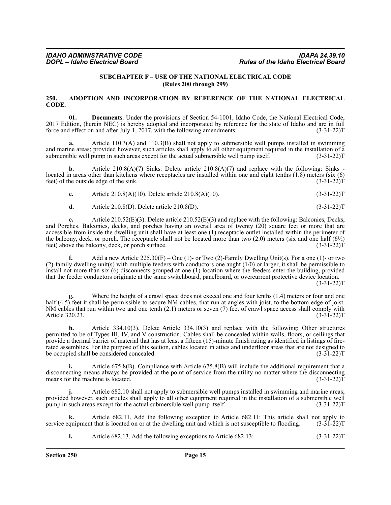#### **SUBCHAPTER F – USE OF THE NATIONAL ELECTRICAL CODE (Rules 200 through 299)**

#### <span id="page-14-1"></span><span id="page-14-0"></span>**250. ADOPTION AND INCORPORATION BY REFERENCE OF THE NATIONAL ELECTRICAL CODE.**

**01. Documents**. Under the provisions of Section 54-1001, Idaho Code, the National Electrical Code, 2017 Edition, (herein NEC) is hereby adopted and incorporated by reference for the state of Idaho and are in full force and effect on and after July 1, 2017, with the following amendments: (3-31-22) force and effect on and after July 1,  $2017$ , with the following amendments:

**a.** Article 110.3(A) and 110.3(B) shall not apply to submersible well pumps installed in swimming and marine areas; provided however, such articles shall apply to all other equipment required in the installation of a submersible well pump in such areas except for the actual submersible well pump itself. (3-31-22) submersible well pump in such areas except for the actual submersible well pump itself.

**b.** Article 210.8(A)(7) Sinks. Delete article 210.8(A)(7) and replace with the following: Sinks located in areas other than kitchens where receptacles are installed within one and eight tenths (1.8) meters (six (6) feet) of the outside edge of the sink. (3-31-22)T

|  | Article 210.8(A)(10). Delete article 210.8(A)(10). | $(3-31-22)T$ |
|--|----------------------------------------------------|--------------|
|--|----------------------------------------------------|--------------|

**d.** Article 210.8(D). Delete article 210.8(D). (3-31-22)T

**e.** Article 210.52(E)(3). Delete article 210.52(E)(3) and replace with the following: Balconies, Decks, and Porches. Balconies, decks, and porches having an overall area of twenty (20) square feet or more that are accessible from inside the dwelling unit shall have at least one (1) receptacle outlet installed within the perimeter of the balcony, deck, or porch. The receptacle shall not be located more than two (2.0) meters (six and one half  $(6\frac{1}{2})$  feet) above the balcony, deck, or porch surface. (3-31-22) feet) above the balcony, deck, or porch surface.

**f.** Add a new Article 225.30(F) – One (1)- or Two (2)-Family Dwelling Unit(s). For a one (1)- or two (2)-family dwelling unit(s) with multiple feeders with conductors one aught (1/0) or larger, it shall be permissible to install not more than six (6) disconnects grouped at one (1) location where the feeders enter the building, provided that the feeder conductors originate at the same switchboard, panelboard, or overcurrent protective device location.  $(3-31-22)T$ 

Where the height of a crawl space does not exceed one and four tenths (1.4) meters or four and one half (4.5) feet it shall be permissible to secure NM cables, that run at angles with joist, to the bottom edge of joist. NM cables that run within two and one tenth (2.1) meters or seven (7) feet of crawl space access shall comply with Article 320.23. (3-31-22) T Article 320.23.

**h.** Article 334.10(3). Delete Article 334.10(3) and replace with the following: Other structures permitted to be of Types III, IV, and V construction. Cables shall be concealed within walls, floors, or ceilings that provide a thermal barrier of material that has at least a fifteen (15)-minute finish rating as identified in listings of firerated assemblies. For the purpose of this section, cables located in attics and underfloor areas that are not designed to be occupied shall be considered concealed. (3-31-22) be occupied shall be considered concealed.

**i.** Article 675.8(B). Compliance with Article 675.8(B) will include the additional requirement that a disconnecting means always be provided at the point of service from the utility no matter where the disconnecting means for the machine is located. (3-31-22) means for the machine is located.

**j.** Article 682.10 shall not apply to submersible well pumps installed in swimming and marine areas; provided however, such articles shall apply to all other equipment required in the installation of a submersible well<br>pump in such areas except for the actual submersible well pump itself. (3-31-22) pump in such areas except for the actual submersible well pump itself.

**k.** Article 682.11. Add the following exception to Article 682.11: This article shall not apply to quipment that is located on or at the dwelling unit and which is not susceptible to flooding. (3-31-22) service equipment that is located on or at the dwelling unit and which is not susceptible to flooding.

**l.** Article 682.13. Add the following exceptions to Article 682.13:  $(3-31-22)T$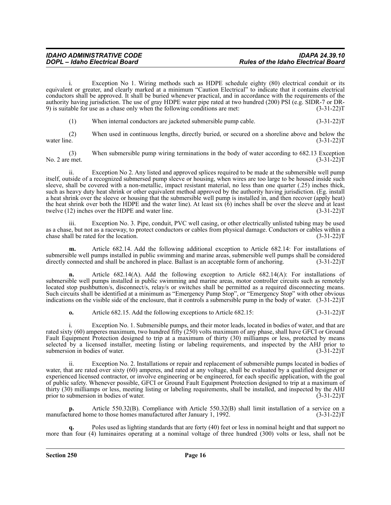i. Exception No 1. Wiring methods such as HDPE schedule eighty (80) electrical conduit or its equivalent or greater, and clearly marked at a minimum "Caution Electrical" to indicate that it contains electrical conductors shall be approved. It shall be buried whenever practical, and in accordance with the requirements of the authority having jurisdiction. The use of gray HDPE water pipe rated at two hundred (200) PSI (e.g. SIDR-7 or DR-9) is suitable for use as a chase only when the following conditions are met: (3-31-22)T

(1) When internal conductors are jacketed submersible pump cable. (3-31-22)T

(2) When used in continuous lengths, directly buried, or secured on a shoreline above and below the e.  $(3-31-22)T$ water line. (3-31-22)T

(3) When submersible pump wiring terminations in the body of water according to 682.13 Exception No. 2 are met. (3-31-22)T

ii. Exception No 2. Any listed and approved splices required to be made at the submersible well pump itself, outside of a recognized submersed pump sleeve or housing, when wires are too large to be housed inside such sleeve, shall be covered with a non-metallic, impact resistant material, no less than one quarter (.25) inches thick, such as heavy duty heat shrink or other equivalent method approved by the authority having jurisdiction. (Eg. install a heat shrink over the sleeve or housing that the submersible well pump is installed in, and then recover (apply heat) the heat shrink over both the HDPE and the water line). At least six  $(6)$  inches shall be over the sleeve and at least twelve (12) inches over the HDPE and water line.  $(3-31-22)$ twelve  $(12)$  inches over the HDPE and water line.

iii. Exception No. 3. Pipe, conduit, PVC well casing, or other electrically unlisted tubing may be used as a chase, but not as a raceway, to protect conductors or cables from physical damage. Conductors or cables within a chase shall be rated for the location. (3-31-22) chase shall be rated for the location.

**m.** Article 682.14. Add the following additional exception to Article 682.14: For installations of submersible well pumps installed in public swimming and marine areas, submersible well pumps shall be considered directly connected and shall be anchored in place. Ballast is an acceptable form of anchoring. (3-31-22) T

**n.** Article 682.14(A). Add the following exception to Article 682.14(A): For installations of submersible well pumps installed in public swimming and marine areas, motor controller circuits such as remotely located stop pushbutton/s, disconnect/s, relay/s or switches shall be permitted as a required disconnecting means. Such circuits shall be identified at a minimum as "Emergency Pump Stop", or "Emergency Stop" with other obvious indications on the visible side of the enclosure, that it controls a submersible pump in the body of water. (3-31-22)T

**o.** Article 682.15. Add the following exceptions to Article 682.15:  $(3-31-22)T$ 

Exception No. 1. Submersible pumps, and their motor leads, located in bodies of water, and that are rated sixty (60) amperes maximum, two hundred fifty (250) volts maximum of any phase, shall have GFCI or Ground Fault Equipment Protection designed to trip at a maximum of thirty (30) milliamps or less, protected by means selected by a licensed installer, meeting listing or labeling requirements, and inspected by the AHJ prior to submersion in bodies of water. (3-31-22) submersion in bodies of water.

ii. Exception No. 2. Installations or repair and replacement of submersible pumps located in bodies of water, that are rated over sixty (60) amperes, and rated at any voltage, shall be evaluated by a qualified designer or experienced licensed contractor, or involve engineering or be engineered, for each specific application, with the goal of public safety. Whenever possible, GFCI or Ground Fault Equipment Protection designed to trip at a maximum of thirty (30) milliamps or less, meeting listing or labeling requirements, shall be installed, and inspected by the AHJ prior to submersion in bodies of water. (3-31-22)T

**p.** Article 550.32(B). Compliance with Article 550.32(B) shall limit installation of a service on a manufactured home to those homes manufactured after January 1, 1992. (3-31-22) T

Poles used as lighting standards that are forty (40) feet or less in nominal height and that support no more than four (4) luminaires operating at a nominal voltage of three hundred (300) volts or less, shall not be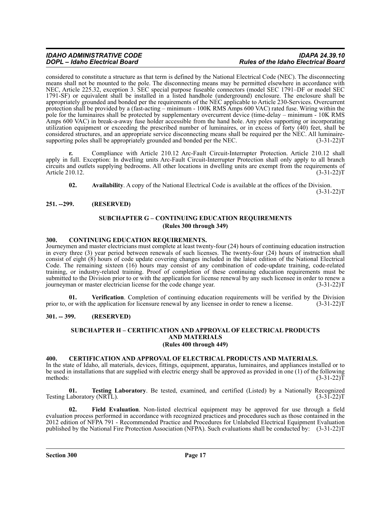considered to constitute a structure as that term is defined by the National Electrical Code (NEC). The disconnecting means shall not be mounted to the pole. The disconnecting means may be permitted elsewhere in accordance with NEC, Article 225.32, exception 3. SEC special purpose fuseable connectors (model SEC 1791–DF or model SEC 1791-SF) or equivalent shall be installed in a listed handhole (underground) enclosure. The enclosure shall be appropriately grounded and bonded per the requirements of the NEC applicable to Article 230-Services. Overcurrent protection shall be provided by a (fast-acting – minimum - 100K RMS Amps 600 VAC) rated fuse. Wiring within the pole for the luminaires shall be protected by supplementary overcurrent device (time-delay – minimum - 10K RMS Amps 600 VAC) in break-a-away fuse holder accessible from the hand hole. Any poles supporting or incorporating utilization equipment or exceeding the prescribed number of luminaires, or in excess of forty (40) feet, shall be considered structures, and an appropriate service disconnecting means shall be required per the NEC. All luminaire-<br>supporting poles shall be appropriately grounded and bonded per the NEC. (3-31-22) supporting poles shall be appropriately grounded and bonded per the NEC.

**r.** Compliance with Article 210.12 Arc-Fault Circuit-Interrupter Protection. Article 210.12 shall apply in full. Exception: In dwelling units Arc-Fault Circuit-Interrupter Protection shall only apply to all branch circuits and outlets supplying bedrooms. All other locations in dwelling units are exempt from the requirements of Article 210.12.

**02. Availability**. A copy of the National Electrical Code is available at the offices of the Division.  $(3-31-22)T$ 

#### <span id="page-16-1"></span><span id="page-16-0"></span>**251. --299. (RESERVED)**

#### **SUBCHAPTER G – CONTINUING EDUCATION REQUIREMENTS (Rules 300 through 349)**

#### <span id="page-16-2"></span>**300. CONTINUING EDUCATION REQUIREMENTS.**

Journeymen and master electricians must complete at least twenty-four (24) hours of continuing education instruction in every three (3) year period between renewals of such licenses. The twenty-four (24) hours of instruction shall consist of eight (8) hours of code update covering changes included in the latest edition of the National Electrical Code. The remaining sixteen (16) hours may consist of any combination of code-update training, code-related training, or industry-related training. Proof of completion of these continuing education requirements must be submitted to the Division prior to or with the application for license renewal by any such licensee in order to renew a journeyman or master electrician license for the code change year. (3-31-22)T

**01. Verification**. Completion of continuing education requirements will be verified by the Division prior to, or with the application for licensure renewal by any licensee in order to renew a license. (3-31-22)T

#### <span id="page-16-4"></span><span id="page-16-3"></span>**301. -- 399. (RESERVED)**

#### **SUBCHAPTER H – CERTIFICATION AND APPROVAL OF ELECTRICAL PRODUCTS AND MATERIALS (Rules 400 through 449)**

#### <span id="page-16-5"></span>**400. CERTIFICATION AND APPROVAL OF ELECTRICAL PRODUCTS AND MATERIALS.**

In the state of Idaho, all materials, devices, fittings, equipment, apparatus, luminaires, and appliances installed or to be used in installations that are supplied with electric energy shall be approved as provided in one (1) of the following methods: (3-31-22) methods:  $(3-31-22)T$ 

**01. Testing Laboratory**. Be tested, examined, and certified (Listed) by a Nationally Recognized Testing Laboratory (NRTL). (3-31-22)T

**02. Field Evaluation**. Non-listed electrical equipment may be approved for use through a field evaluation process performed in accordance with recognized practices and procedures such as those contained in the 2012 edition of NFPA 791 - Recommended Practice and Procedures for Unlabeled Electrical Equipment Evaluation published by the National Fire Protection Association (NFPA). Such evaluations shall be conducted by: (3-31-22)T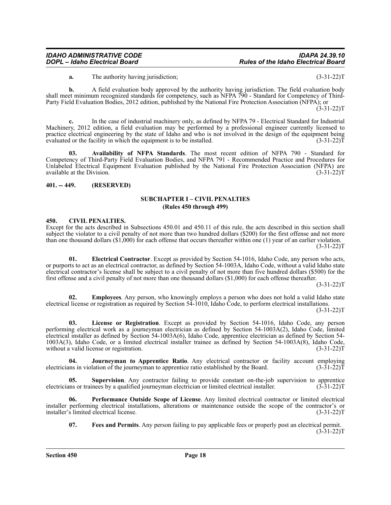**a.** The authority having jurisdiction; (3-31-22)T

**b.** A field evaluation body approved by the authority having jurisdiction. The field evaluation body shall meet minimum recognized standards for competency, such as NFPA 790 - Standard for Competency of Third-Party Field Evaluation Bodies, 2012 edition, published by the National Fire Protection Association (NFPA); or

 $(3-31-22)T$ 

**c.** In the case of industrial machinery only, as defined by NFPA 79 - Electrical Standard for Industrial Machinery, 2012 edition, a field evaluation may be performed by a professional engineer currently licensed to practice electrical engineering by the state of Idaho and who is not involved in the design of the equipment being evaluated or the facility in which the equipment is to be installed. (3-31-22) evaluated or the facility in which the equipment is to be installed.

**03. Availability of NFPA Standards**. The most recent edition of NFPA 790 - Standard for Competency of Third-Party Field Evaluation Bodies, and NFPA 791 - Recommended Practice and Procedures for Unlabeled Electrical Equipment Evaluation published by the National Fire Protection Association (NFPA) are available at the Division. (3-31-22)T

#### <span id="page-17-1"></span><span id="page-17-0"></span>**401. -- 449. (RESERVED)**

#### **SUBCHAPTER I – CIVIL PENALTIES (Rules 450 through 499)**

#### <span id="page-17-2"></span>**450. CIVIL PENALTIES.**

Except for the acts described in Subsections 450.01 and 450.11 of this rule, the acts described in this section shall subject the violator to a civil penalty of not more than two hundred dollars (\$200) for the first offense and not more than one thousand dollars (\$1,000) for each offense that occurs thereafter within one (1) year of an earlier violation.  $(3-31-22)T$ 

**01. Electrical Contractor**. Except as provided by Section 54-1016, Idaho Code, any person who acts, or purports to act as an electrical contractor, as defined by Section 54-1003A, Idaho Code, without a valid Idaho state electrical contractor's license shall be subject to a civil penalty of not more than five hundred dollars (\$500) for the first offense and a civil penalty of not more than one thousand dollars (\$1,000) for each offense thereafter.

 $(3-31-22)T$ 

**02. Employees**. Any person, who knowingly employs a person who does not hold a valid Idaho state electrical license or registration as required by Section 54-1010, Idaho Code, to perform electrical installations.

 $(3-31-22)T$ 

License or Registration. Except as provided by Section 54-1016, Idaho Code, any person performing electrical work as a journeyman electrician as defined by Section 54-1003A(2), Idaho Code, limited electrical installer as defined by Section 54-1003A(6), Idaho Code, apprentice electrician as defined by Section 54- 1003A(3), Idaho Code, or a limited electrical installer trainee as defined by Section 54-1003A(8), Idaho Code, without a valid license or registration.

**04.** Journeyman to Apprentice Ratio. Any electrical contractor or facility account employing in violation of the journeyman to apprentice ratio established by the Board. (3-31-22) electricians in violation of the journeyman to apprentice ratio established by the Board.

**05. Supervision**. Any contractor failing to provide constant on-the-job supervision to apprentice electricians or trainees by a qualified journeyman electrician or limited electrical installer. (3-31-22)T

**06. Performance Outside Scope of License**. Any limited electrical contractor or limited electrical installer performing electrical installations, alterations or maintenance outside the scope of the contractor's or installer's limited electrical license. (3-31-22)T

**07. Fees and Permits**. Any person failing to pay applicable fees or properly post an electrical permit.  $(3-31-22)T$